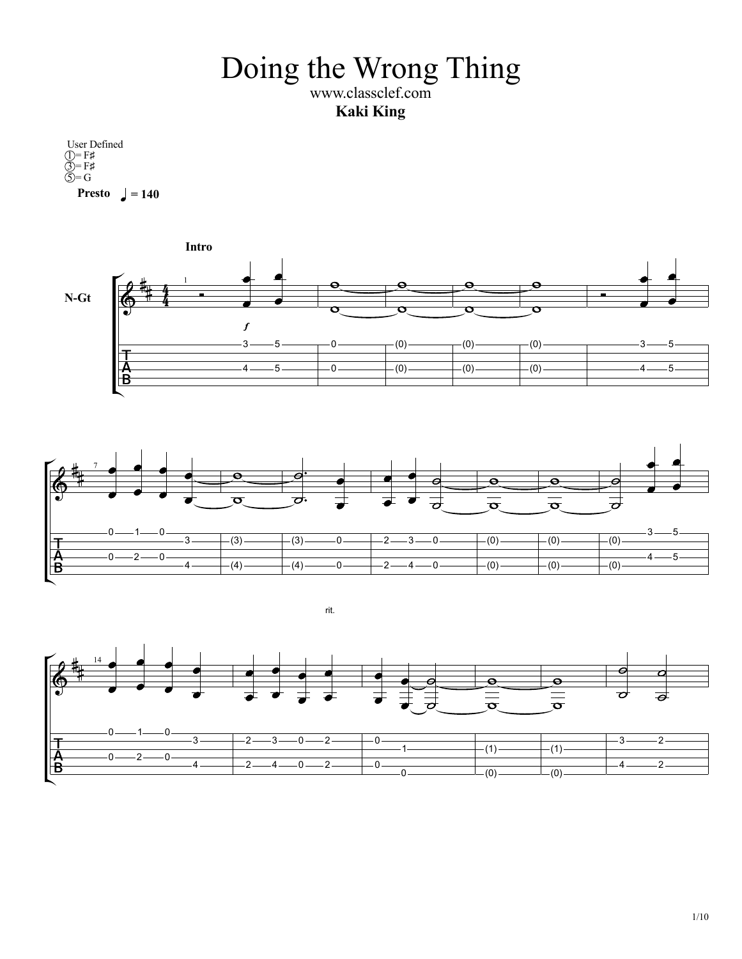Doing the Wrong Thing www.classclef.com

**Kaki King**

**Presto**  $= 140$ User Defined  $\mathbf{I} = \mathbf{F}$ #  $\overline{3}$  = F#  $\widehat{S} = G$ 





rit.

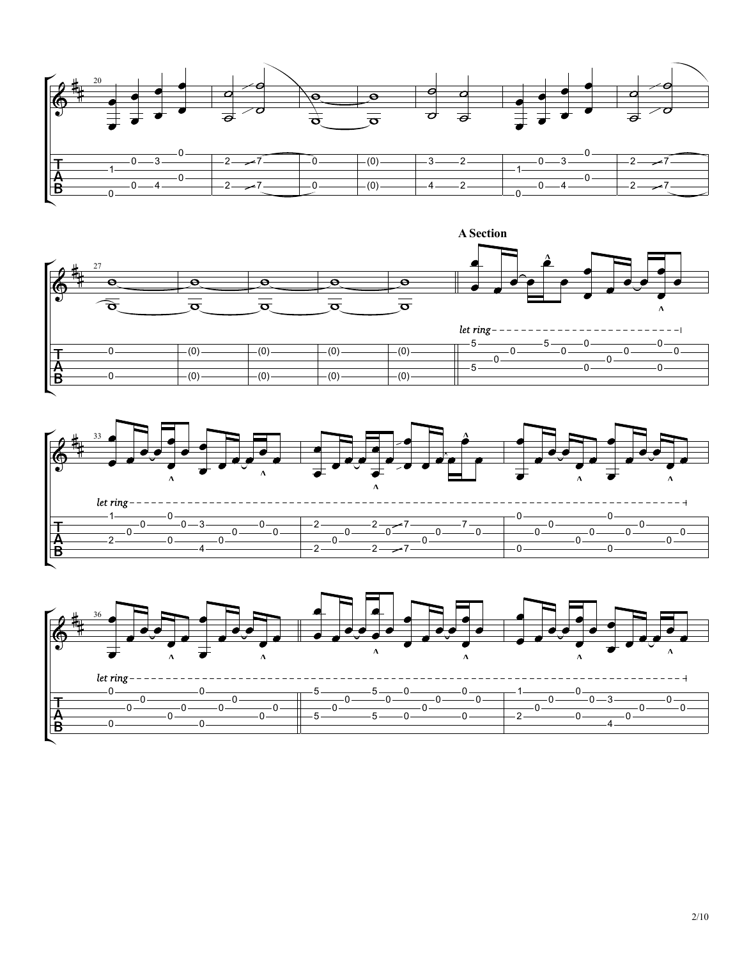





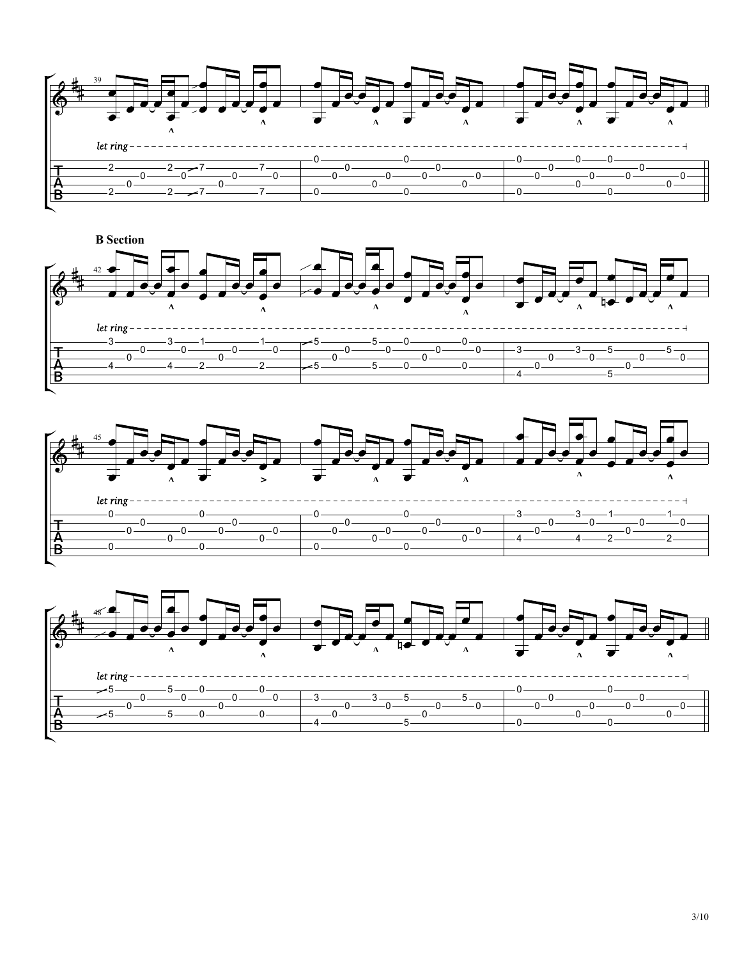





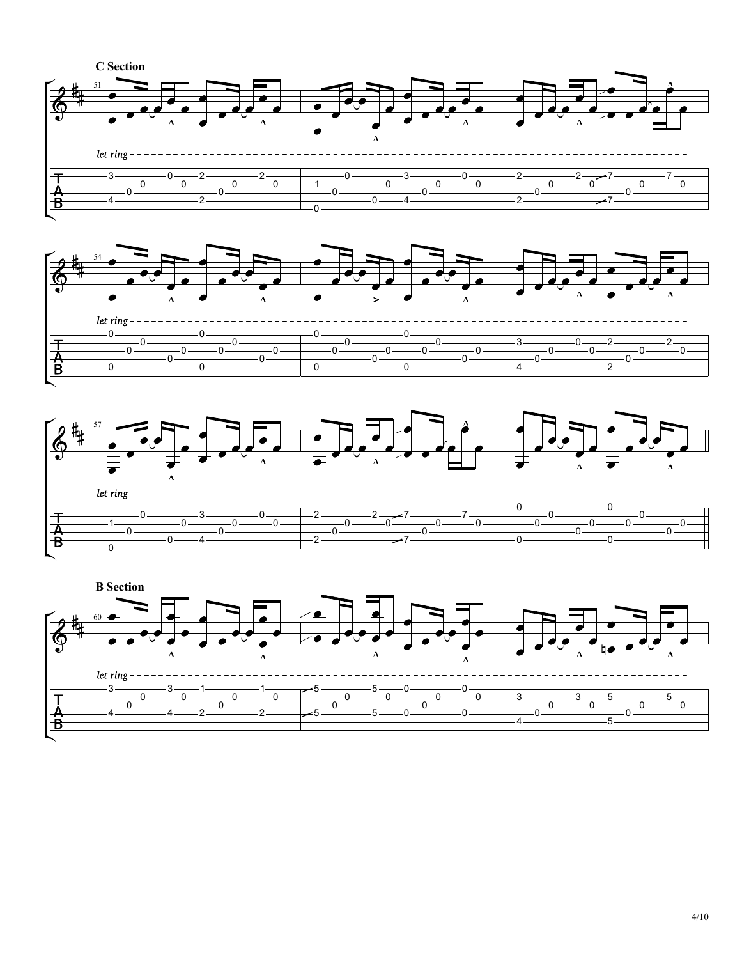





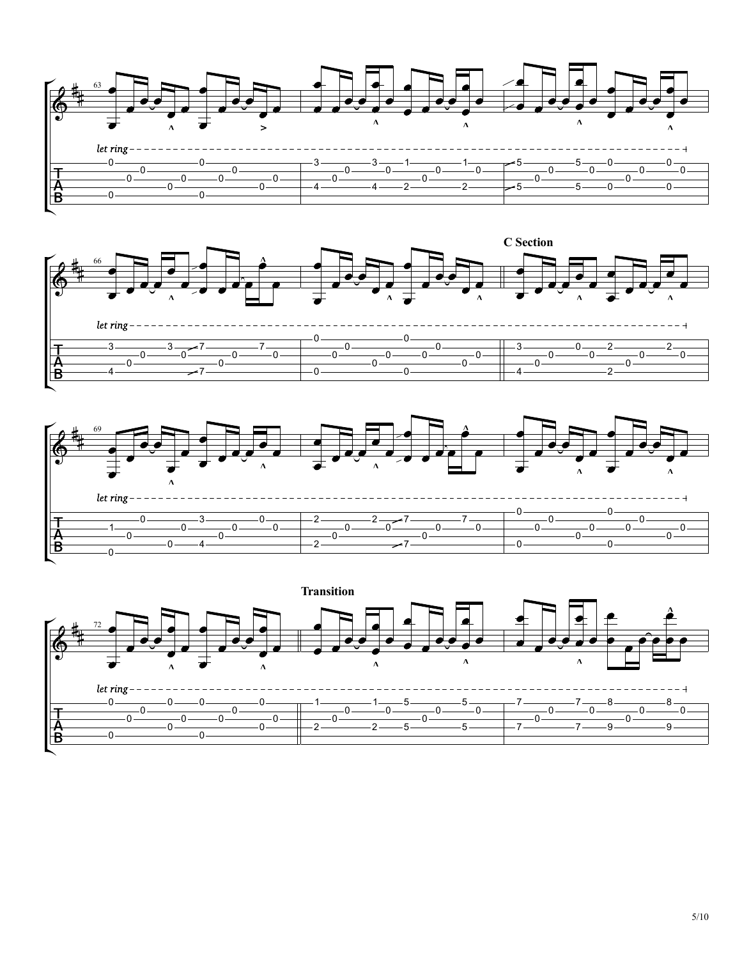







5/10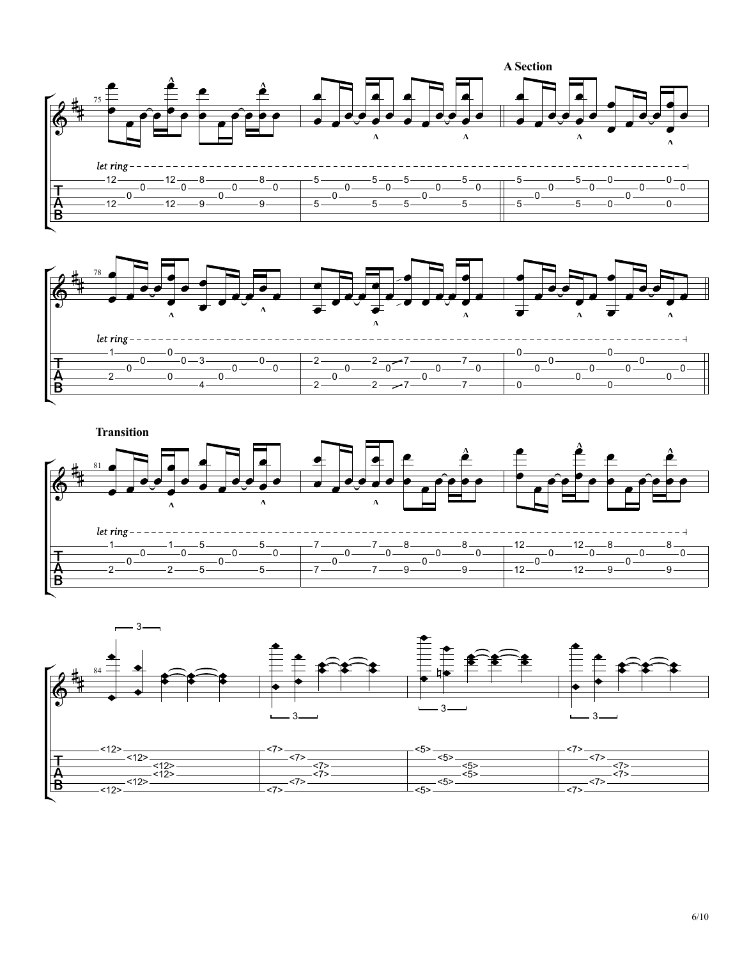





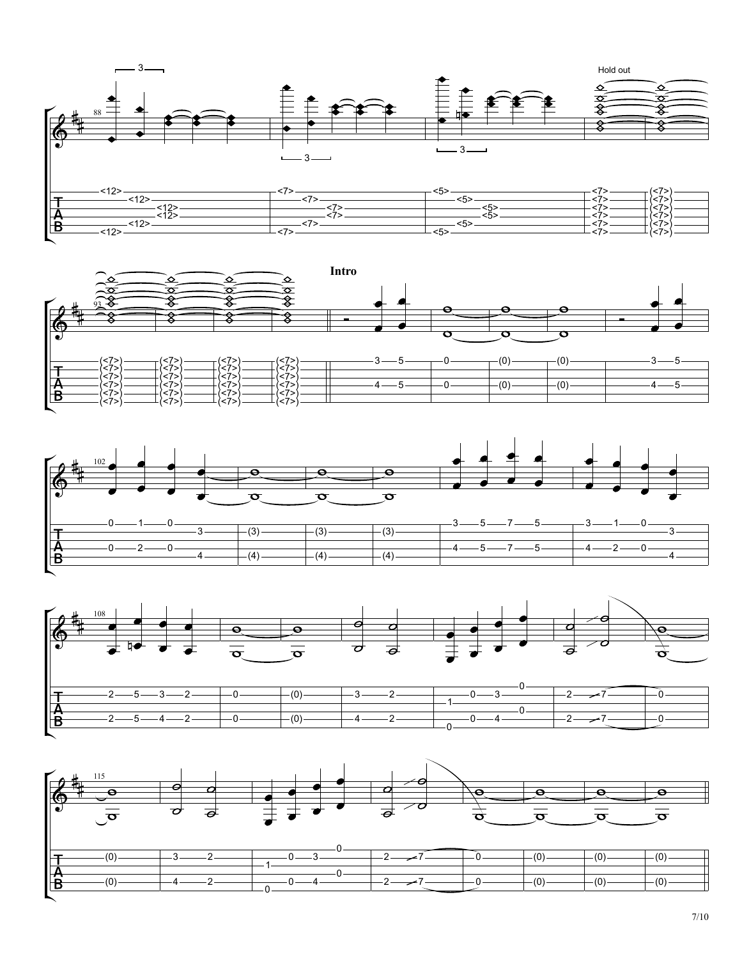







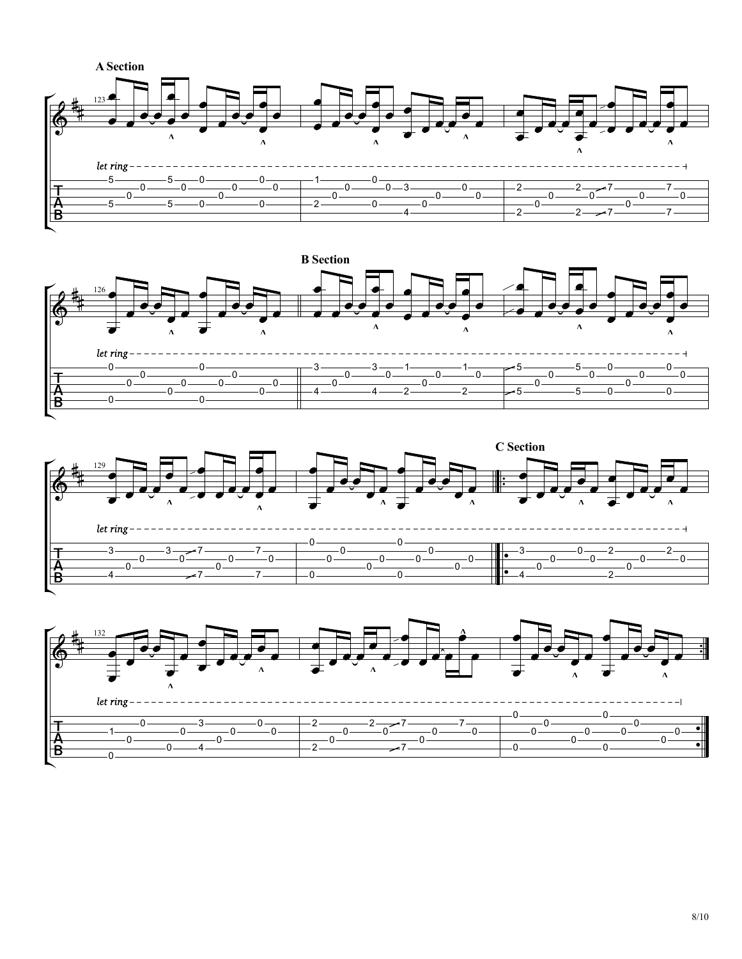





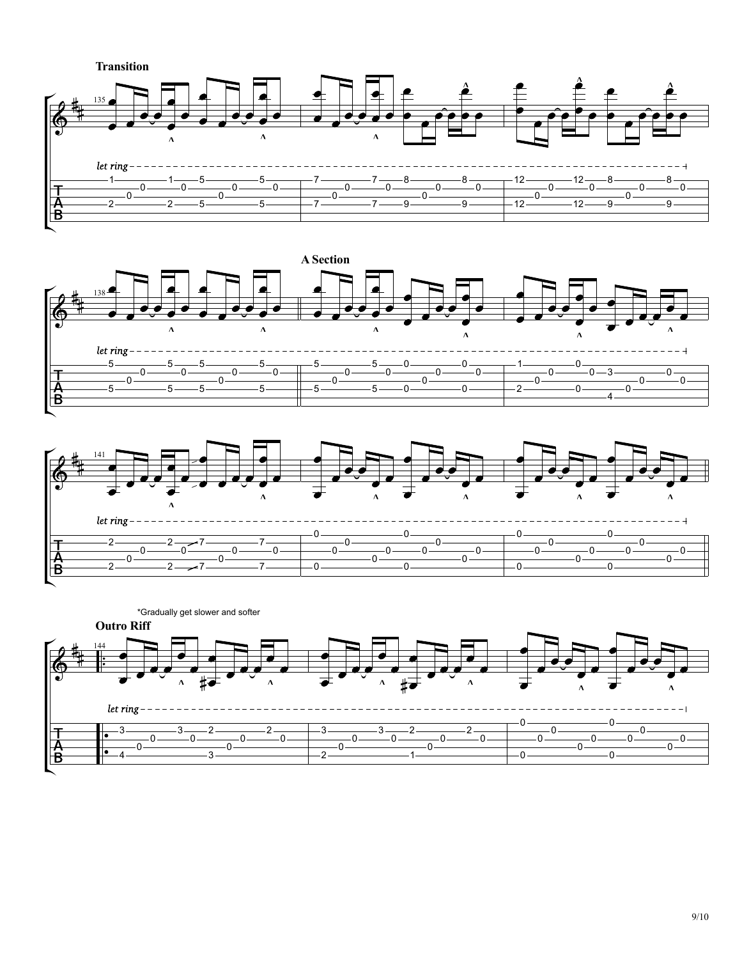